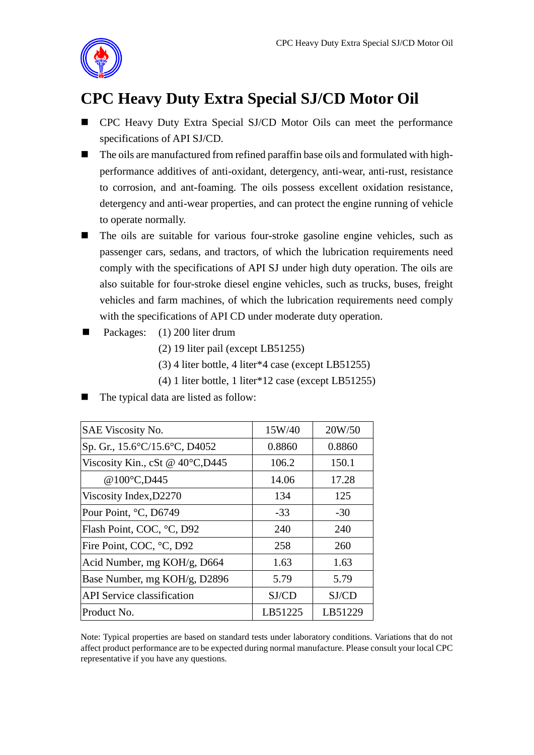

## **CPC Heavy Duty Extra Special SJ/CD Motor Oil**

- CPC Heavy Duty Extra Special SJ/CD Motor Oils can meet the performance specifications of API SJ/CD.
- The oils are manufactured from refined paraffin base oils and formulated with highperformance additives of anti-oxidant, detergency, anti-wear, anti-rust, resistance to corrosion, and ant-foaming. The oils possess excellent oxidation resistance, detergency and anti-wear properties, and can protect the engine running of vehicle to operate normally.
- The oils are suitable for various four-stroke gasoline engine vehicles, such as passenger cars, sedans, and tractors, of which the lubrication requirements need comply with the specifications of API SJ under high duty operation. The oils are also suitable for four-stroke diesel engine vehicles, such as trucks, buses, freight vehicles and farm machines, of which the lubrication requirements need comply with the specifications of API CD under moderate duty operation.
- Packages: (1) 200 liter drum
	- (2) 19 liter pail (except LB51255)
	- (3) 4 liter bottle, 4 liter\*4 case (except LB51255)
	- (4) 1 liter bottle, 1 liter\*12 case (except LB51255)
- The typical data are listed as follow:

| <b>SAE Viscosity No.</b>                  | 15W/40  | 20W/50  |
|-------------------------------------------|---------|---------|
| Sp. Gr., 15.6°C/15.6°C, D4052             | 0.8860  | 0.8860  |
| Viscosity Kin., cSt @ $40^{\circ}$ C,D445 | 106.2   | 150.1   |
| @100°C,D445                               | 14.06   | 17.28   |
| Viscosity Index, D2270                    | 134     | 125     |
| Pour Point, °C, D6749                     | $-33$   | $-30$   |
| Flash Point, COC, °C, D92                 | 240     | 240     |
| Fire Point, COC, °C, D92                  | 258     | 260     |
| Acid Number, mg KOH/g, D664               | 1.63    | 1.63    |
| Base Number, mg KOH/g, D2896              | 5.79    | 5.79    |
| <b>API</b> Service classification         | SJ/CD   | SJ/CD   |
| Product No.                               | LB51225 | LB51229 |

Note: Typical properties are based on standard tests under laboratory conditions. Variations that do not affect product performance are to be expected during normal manufacture. Please consult your local CPC representative if you have any questions.